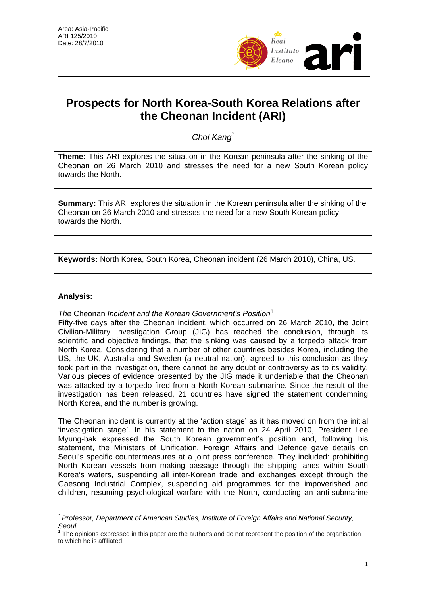

# **Prospects for North Korea-South Korea Relations after the Cheonan Incident (ARI)**

*Choi Kang*[\\*](#page-0-0)

**Theme:** This ARI explores the situation in the Korean peninsula after the sinking of the Cheonan on 26 March 2010 and stresses the need for a new South Korean policy towards the North.

**Summary:** This ARI explores the situation in the Korean peninsula after the sinking of the Cheonan on 26 March 2010 and stresses the need for a new South Korean policy towards the North.

**Keywords:** North Korea, South Korea, Cheonan incident (26 March 2010), China, US.

## **Analysis:**

 $\overline{a}$ 

*The* Cheonan *Incident and the Korean Government's Position*[1](#page-0-1)

Fifty-five days after the Cheonan incident, which occurred on 26 March 2010, the Joint Civilian-Military Investigation Group (JIG) has reached the conclusion, through its scientific and objective findings, that the sinking was caused by a torpedo attack from North Korea. Considering that a number of other countries besides Korea, including the US, the UK, Australia and Sweden (a neutral nation), agreed to this conclusion as they took part in the investigation, there cannot be any doubt or controversy as to its validity. Various pieces of evidence presented by the JIG made it undeniable that the Cheonan was attacked by a torpedo fired from a North Korean submarine. Since the result of the investigation has been released, 21 countries have signed the statement condemning North Korea, and the number is growing.

The Cheonan incident is currently at the 'action stage' as it has moved on from the initial 'investigation stage'. In his statement to the nation on 24 April 2010, President Lee Myung-bak expressed the South Korean government's position and, following his statement, the Ministers of Unification, Foreign Affairs and Defence gave details on Seoul's specific countermeasures at a joint press conference. They included: prohibiting North Korean vessels from making passage through the shipping lanes within South Korea's waters, suspending all inter-Korean trade and exchanges except through the Gaesong Industrial Complex, suspending aid programmes for the impoverished and children, resuming psychological warfare with the North, conducting an anti-submarine

<span id="page-0-0"></span>*<sup>\*</sup> Professor, Department of American Studies, Institute of Foreign Affairs and National Security, Seoul.* 

<span id="page-0-1"></span><sup>1</sup> The opinions expressed in this paper are the author's and do not represent the position of the organisation to which he is affiliated.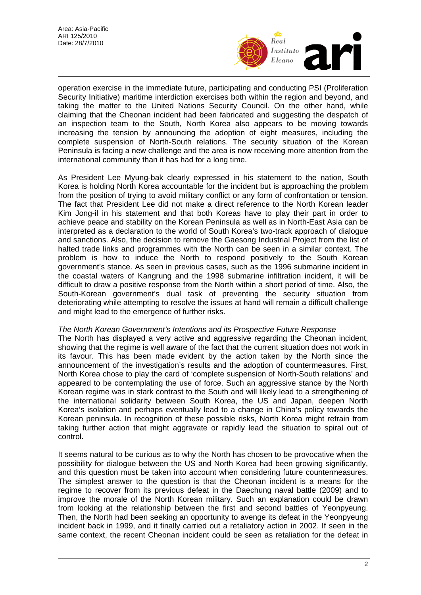

operation exercise in the immediate future, participating and conducting PSI (Proliferation Security Initiative) maritime interdiction exercises both within the region and beyond, and taking the matter to the United Nations Security Council. On the other hand, while claiming that the Cheonan incident had been fabricated and suggesting the despatch of an inspection team to the South, North Korea also appears to be moving towards increasing the tension by announcing the adoption of eight measures, including the complete suspension of North-South relations. The security situation of the Korean Peninsula is facing a new challenge and the area is now receiving more attention from the international community than it has had for a long time.

As President Lee Myung-bak clearly expressed in his statement to the nation, South Korea is holding North Korea accountable for the incident but is approaching the problem from the position of trying to avoid military conflict or any form of confrontation or tension. The fact that President Lee did not make a direct reference to the North Korean leader Kim Jong-il in his statement and that both Koreas have to play their part in order to achieve peace and stability on the Korean Peninsula as well as in North-East Asia can be interpreted as a declaration to the world of South Korea's two-track approach of dialogue and sanctions. Also, the decision to remove the Gaesong Industrial Project from the list of halted trade links and programmes with the North can be seen in a similar context. The problem is how to induce the North to respond positively to the South Korean government's stance. As seen in previous cases, such as the 1996 submarine incident in the coastal waters of Kangrung and the 1998 submarine infiltration incident, it will be difficult to draw a positive response from the North within a short period of time. Also, the South-Korean government's dual task of preventing the security situation from deteriorating while attempting to resolve the issues at hand will remain a difficult challenge and might lead to the emergence of further risks.

#### *The North Korean Government's Intentions and its Prospective Future Response*

The North has displayed a very active and aggressive regarding the Cheonan incident, showing that the regime is well aware of the fact that the current situation does not work in its favour. This has been made evident by the action taken by the North since the announcement of the investigation's results and the adoption of countermeasures. First, North Korea chose to play the card of 'complete suspension of North-South relations' and appeared to be contemplating the use of force. Such an aggressive stance by the North Korean regime was in stark contrast to the South and will likely lead to a strengthening of the international solidarity between South Korea, the US and Japan, deepen North Korea's isolation and perhaps eventually lead to a change in China's policy towards the Korean peninsula. In recognition of these possible risks, North Korea might refrain from taking further action that might aggravate or rapidly lead the situation to spiral out of control.

It seems natural to be curious as to why the North has chosen to be provocative when the possibility for dialogue between the US and North Korea had been growing significantly, and this question must be taken into account when considering future countermeasures. The simplest answer to the question is that the Cheonan incident is a means for the regime to recover from its previous defeat in the Daechung naval battle (2009) and to improve the morale of the North Korean military. Such an explanation could be drawn from looking at the relationship between the first and second battles of Yeonpyeung. Then, the North had been seeking an opportunity to avenge its defeat in the Yeonpyeung incident back in 1999, and it finally carried out a retaliatory action in 2002. If seen in the same context, the recent Cheonan incident could be seen as retaliation for the defeat in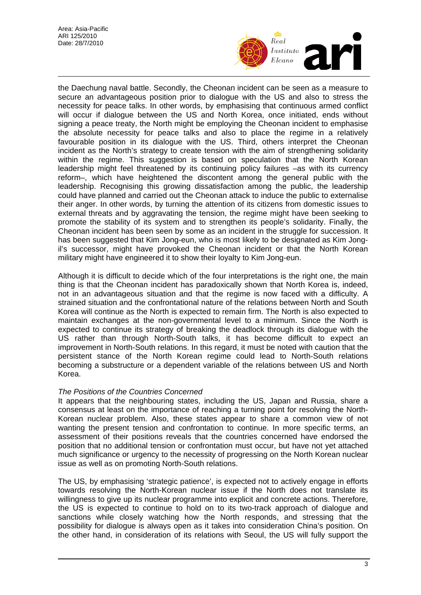

the Daechung naval battle. Secondly, the Cheonan incident can be seen as a measure to secure an advantageous position prior to dialogue with the US and also to stress the necessity for peace talks. In other words, by emphasising that continuous armed conflict will occur if dialogue between the US and North Korea, once initiated, ends without signing a peace treaty, the North might be employing the Cheonan incident to emphasise the absolute necessity for peace talks and also to place the regime in a relatively favourable position in its dialogue with the US. Third, others interpret the Cheonan incident as the North's strategy to create tension with the aim of strengthening solidarity within the regime. This suggestion is based on speculation that the North Korean leadership might feel threatened by its continuing policy failures –as with its currency reform–, which have heightened the discontent among the general public with the leadership. Recognising this growing dissatisfaction among the public, the leadership could have planned and carried out the Cheonan attack to induce the public to externalise their anger. In other words, by turning the attention of its citizens from domestic issues to external threats and by aggravating the tension, the regime might have been seeking to promote the stability of its system and to strengthen its people's solidarity. Finally, the Cheonan incident has been seen by some as an incident in the struggle for succession. It has been suggested that Kim Jong-eun, who is most likely to be designated as Kim Jongil's successor, might have provoked the Cheonan incident or that the North Korean military might have engineered it to show their loyalty to Kim Jong-eun.

Although it is difficult to decide which of the four interpretations is the right one, the main thing is that the Cheonan incident has paradoxically shown that North Korea is, indeed, not in an advantageous situation and that the regime is now faced with a difficulty. A strained situation and the confrontational nature of the relations between North and South Korea will continue as the North is expected to remain firm. The North is also expected to maintain exchanges at the non-governmental level to a minimum. Since the North is expected to continue its strategy of breaking the deadlock through its dialogue with the US rather than through North-South talks, it has become difficult to expect an improvement in North-South relations. In this regard, it must be noted with caution that the persistent stance of the North Korean regime could lead to North-South relations becoming a substructure or a dependent variable of the relations between US and North Korea.

### *The Positions of the Countries Concerned*

It appears that the neighbouring states, including the US, Japan and Russia, share a consensus at least on the importance of reaching a turning point for resolving the North-Korean nuclear problem. Also, these states appear to share a common view of not wanting the present tension and confrontation to continue. In more specific terms, an assessment of their positions reveals that the countries concerned have endorsed the position that no additional tension or confrontation must occur, but have not yet attached much significance or urgency to the necessity of progressing on the North Korean nuclear issue as well as on promoting North-South relations.

The US, by emphasising 'strategic patience', is expected not to actively engage in efforts towards resolving the North-Korean nuclear issue if the North does not translate its willingness to give up its nuclear programme into explicit and concrete actions. Therefore, the US is expected to continue to hold on to its two-track approach of dialogue and sanctions while closely watching how the North responds, and stressing that the possibility for dialogue is always open as it takes into consideration China's position. On the other hand, in consideration of its relations with Seoul, the US will fully support the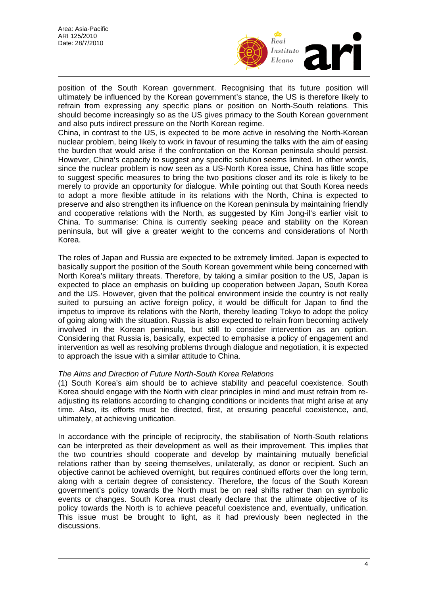

position of the South Korean government. Recognising that its future position will ultimately be influenced by the Korean government's stance, the US is therefore likely to refrain from expressing any specific plans or position on North-South relations. This should become increasingly so as the US gives primacy to the South Korean government and also puts indirect pressure on the North Korean regime.

China, in contrast to the US, is expected to be more active in resolving the North-Korean nuclear problem, being likely to work in favour of resuming the talks with the aim of easing the burden that would arise if the confrontation on the Korean peninsula should persist. However, China's capacity to suggest any specific solution seems limited. In other words, since the nuclear problem is now seen as a US-North Korea issue, China has little scope to suggest specific measures to bring the two positions closer and its role is likely to be merely to provide an opportunity for dialogue. While pointing out that South Korea needs to adopt a more flexible attitude in its relations with the North, China is expected to preserve and also strengthen its influence on the Korean peninsula by maintaining friendly and cooperative relations with the North, as suggested by Kim Jong-il's earlier visit to China. To summarise: China is currently seeking peace and stability on the Korean peninsula, but will give a greater weight to the concerns and considerations of North Korea.

The roles of Japan and Russia are expected to be extremely limited. Japan is expected to basically support the position of the South Korean government while being concerned with North Korea's military threats. Therefore, by taking a similar position to the US, Japan is expected to place an emphasis on building up cooperation between Japan, South Korea and the US. However, given that the political environment inside the country is not really suited to pursuing an active foreign policy, it would be difficult for Japan to find the impetus to improve its relations with the North, thereby leading Tokyo to adopt the policy of going along with the situation. Russia is also expected to refrain from becoming actively involved in the Korean peninsula, but still to consider intervention as an option. Considering that Russia is, basically, expected to emphasise a policy of engagement and intervention as well as resolving problems through dialogue and negotiation, it is expected to approach the issue with a similar attitude to China.

### *The Aims and Direction of Future North-South Korea Relations*

(1) South Korea's aim should be to achieve stability and peaceful coexistence. South Korea should engage with the North with clear principles in mind and must refrain from readjusting its relations according to changing conditions or incidents that might arise at any time. Also, its efforts must be directed, first, at ensuring peaceful coexistence, and, ultimately, at achieving unification.

In accordance with the principle of reciprocity, the stabilisation of North-South relations can be interpreted as their development as well as their improvement. This implies that the two countries should cooperate and develop by maintaining mutually beneficial relations rather than by seeing themselves, unilaterally, as donor or recipient. Such an objective cannot be achieved overnight, but requires continued efforts over the long term, along with a certain degree of consistency. Therefore, the focus of the South Korean government's policy towards the North must be on real shifts rather than on symbolic events or changes. South Korea must clearly declare that the ultimate objective of its policy towards the North is to achieve peaceful coexistence and, eventually, unification. This issue must be brought to light, as it had previously been neglected in the discussions.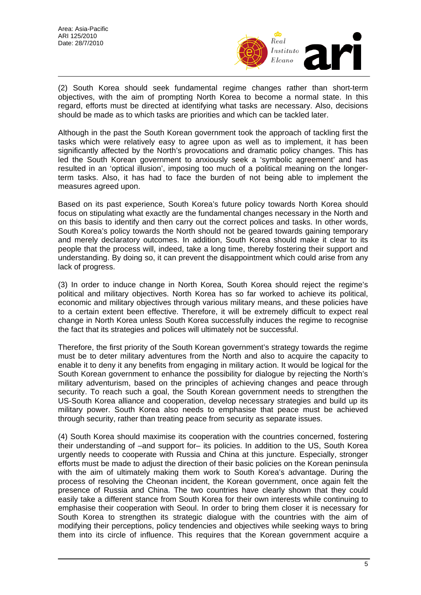

(2) South Korea should seek fundamental regime changes rather than short-term objectives, with the aim of prompting North Korea to become a normal state. In this regard, efforts must be directed at identifying what tasks are necessary. Also, decisions should be made as to which tasks are priorities and which can be tackled later.

Although in the past the South Korean government took the approach of tackling first the tasks which were relatively easy to agree upon as well as to implement, it has been significantly affected by the North's provocations and dramatic policy changes. This has led the South Korean government to anxiously seek a 'symbolic agreement' and has resulted in an 'optical illusion', imposing too much of a political meaning on the longerterm tasks. Also, it has had to face the burden of not being able to implement the measures agreed upon.

Based on its past experience, South Korea's future policy towards North Korea should focus on stipulating what exactly are the fundamental changes necessary in the North and on this basis to identify and then carry out the correct polices and tasks. In other words, South Korea's policy towards the North should not be geared towards gaining temporary and merely declaratory outcomes. In addition, South Korea should make it clear to its people that the process will, indeed, take a long time, thereby fostering their support and understanding. By doing so, it can prevent the disappointment which could arise from any lack of progress.

(3) In order to induce change in North Korea, South Korea should reject the regime's political and military objectives. North Korea has so far worked to achieve its political, economic and military objectives through various military means, and these policies have to a certain extent been effective. Therefore, it will be extremely difficult to expect real change in North Korea unless South Korea successfully induces the regime to recognise the fact that its strategies and polices will ultimately not be successful.

Therefore, the first priority of the South Korean government's strategy towards the regime must be to deter military adventures from the North and also to acquire the capacity to enable it to deny it any benefits from engaging in military action. It would be logical for the South Korean government to enhance the possibility for dialogue by rejecting the North's military adventurism, based on the principles of achieving changes and peace through security. To reach such a goal, the South Korean government needs to strengthen the US-South Korea alliance and cooperation, develop necessary strategies and build up its military power. South Korea also needs to emphasise that peace must be achieved through security, rather than treating peace from security as separate issues.

(4) South Korea should maximise its cooperation with the countries concerned, fostering their understanding of –and support for– its policies. In addition to the US, South Korea urgently needs to cooperate with Russia and China at this juncture. Especially, stronger efforts must be made to adjust the direction of their basic policies on the Korean peninsula with the aim of ultimately making them work to South Korea's advantage. During the process of resolving the Cheonan incident, the Korean government, once again felt the presence of Russia and China. The two countries have clearly shown that they could easily take a different stance from South Korea for their own interests while continuing to emphasise their cooperation with Seoul. In order to bring them closer it is necessary for South Korea to strengthen its strategic dialogue with the countries with the aim of modifying their perceptions, policy tendencies and objectives while seeking ways to bring them into its circle of influence. This requires that the Korean government acquire a